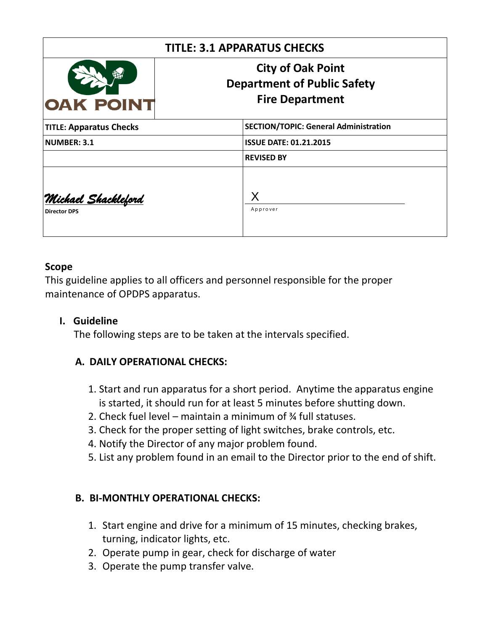| <b>TITLE: 3.1 APPARATUS CHECKS</b>                 |                                                                                          |
|----------------------------------------------------|------------------------------------------------------------------------------------------|
| <b>OAK POINT</b>                                   | <b>City of Oak Point</b><br><b>Department of Public Safety</b><br><b>Fire Department</b> |
| <b>TITLE: Apparatus Checks</b>                     | <b>SECTION/TOPIC: General Administration</b>                                             |
| NUMBER: 3.1                                        | <b>ISSUE DATE: 01.21.2015</b>                                                            |
|                                                    | <b>REVISED BY</b>                                                                        |
| <u> Michael Shackleford</u><br><b>Director DPS</b> | Χ<br>Approver                                                                            |

### **Scope**

This guideline applies to all officers and personnel responsible for the proper maintenance of OPDPS apparatus.

#### **I. Guideline**

The following steps are to be taken at the intervals specified.

## **A. DAILY OPERATIONAL CHECKS:**

- 1. Start and run apparatus for a short period. Anytime the apparatus engine is started, it should run for at least 5 minutes before shutting down.
- 2. Check fuel level maintain a minimum of ¾ full statuses.
- 3. Check for the proper setting of light switches, brake controls, etc.
- 4. Notify the Director of any major problem found.
- 5. List any problem found in an email to the Director prior to the end of shift.

## **B. BI-MONTHLY OPERATIONAL CHECKS:**

- 1. Start engine and drive for a minimum of 15 minutes, checking brakes, turning, indicator lights, etc.
- 2. Operate pump in gear, check for discharge of water
- 3. Operate the pump transfer valve.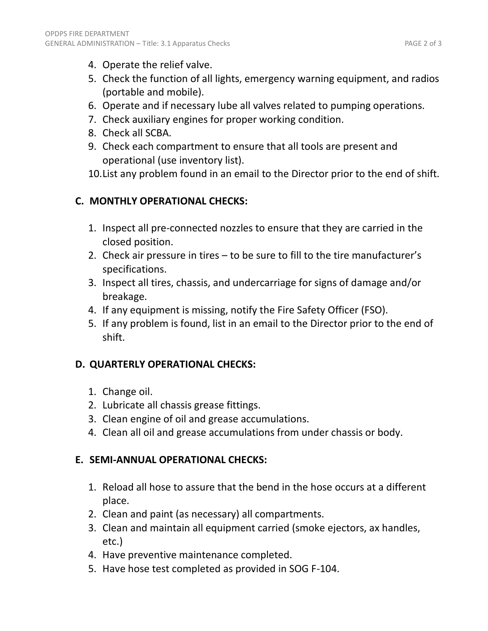- 4. Operate the relief valve.
- 5. Check the function of all lights, emergency warning equipment, and radios (portable and mobile).
- 6. Operate and if necessary lube all valves related to pumping operations.
- 7. Check auxiliary engines for proper working condition.
- 8. Check all SCBA.

OPDPS FIRE DEPARTMENT

- 9. Check each compartment to ensure that all tools are present and operational (use inventory list).
- 10.List any problem found in an email to the Director prior to the end of shift.

# **C. MONTHLY OPERATIONAL CHECKS:**

- 1. Inspect all pre-connected nozzles to ensure that they are carried in the closed position.
- 2. Check air pressure in tires to be sure to fill to the tire manufacturer's specifications.
- 3. Inspect all tires, chassis, and undercarriage for signs of damage and/or breakage.
- 4. If any equipment is missing, notify the Fire Safety Officer (FSO).
- 5. If any problem is found, list in an email to the Director prior to the end of shift.

# **D. QUARTERLY OPERATIONAL CHECKS:**

- 1. Change oil.
- 2. Lubricate all chassis grease fittings.
- 3. Clean engine of oil and grease accumulations.
- 4. Clean all oil and grease accumulations from under chassis or body.

## **E. SEMI-ANNUAL OPERATIONAL CHECKS:**

- 1. Reload all hose to assure that the bend in the hose occurs at a different place.
- 2. Clean and paint (as necessary) all compartments.
- 3. Clean and maintain all equipment carried (smoke ejectors, ax handles, etc.)
- 4. Have preventive maintenance completed.
- 5. Have hose test completed as provided in SOG F-104.